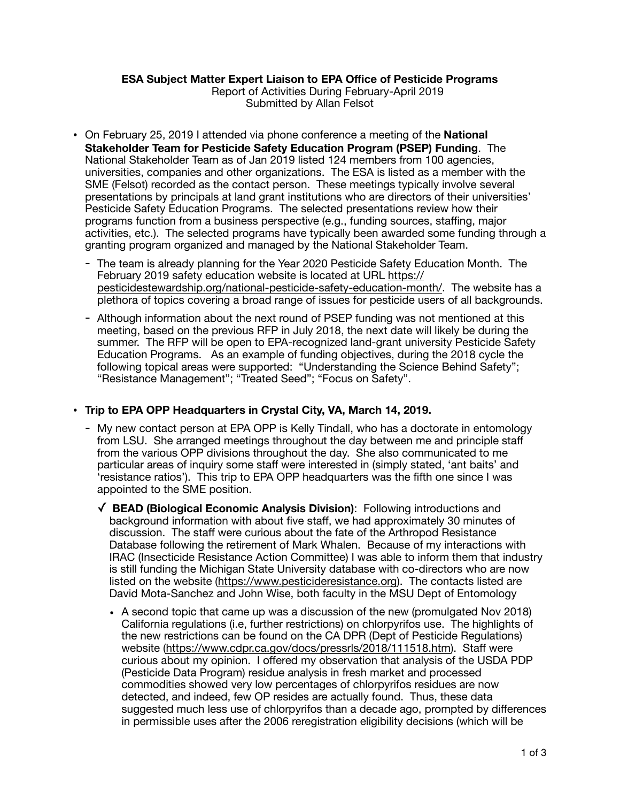## **ESA Subject Matter Expert Liaison to EPA Office of Pesticide Programs**

Report of Activities During February-April 2019 Submitted by Allan Felsot

- On February 25, 2019 I attended via phone conference a meeting of the **National Stakeholder Team for Pesticide Safety Education Program (PSEP) Funding**. The National Stakeholder Team as of Jan 2019 listed 124 members from 100 agencies, universities, companies and other organizations. The ESA is listed as a member with the SME (Felsot) recorded as the contact person. These meetings typically involve several presentations by principals at land grant institutions who are directors of their universities' Pesticide Safety Education Programs. The selected presentations review how their programs function from a business perspective (e.g., funding sources, staffing, major activities, etc.). The selected programs have typically been awarded some funding through a granting program organized and managed by the National Stakeholder Team.
	- The team is already planning for the Year 2020 Pesticide Safety Education Month. The February 2019 safety education website is located at URL [https://](https://pesticidestewardship.org/national-pesticide-safety-education-month/) [pesticidestewardship.org/national-pesticide-safety-education-month/.](https://pesticidestewardship.org/national-pesticide-safety-education-month/) The website has a plethora of topics covering a broad range of issues for pesticide users of all backgrounds.
	- Although information about the next round of PSEP funding was not mentioned at this meeting, based on the previous RFP in July 2018, the next date will likely be during the summer. The RFP will be open to EPA-recognized land-grant university Pesticide Safety Education Programs. As an example of funding objectives, during the 2018 cycle the following topical areas were supported: "Understanding the Science Behind Safety"; "Resistance Management"; "Treated Seed"; "Focus on Safety".

## • **Trip to EPA OPP Headquarters in Crystal City, VA, March 14, 2019.**

- My new contact person at EPA OPP is Kelly Tindall, who has a doctorate in entomology from LSU. She arranged meetings throughout the day between me and principle staff from the various OPP divisions throughout the day. She also communicated to me particular areas of inquiry some staff were interested in (simply stated, 'ant baits' and 'resistance ratios'). This trip to EPA OPP headquarters was the fifth one since I was appointed to the SME position.
	- ✓ **BEAD (Biological Economic Analysis Division)**: Following introductions and background information with about five staff, we had approximately 30 minutes of discussion. The staff were curious about the fate of the Arthropod Resistance Database following the retirement of Mark Whalen. Because of my interactions with IRAC (Insecticide Resistance Action Committee) I was able to inform them that industry is still funding the Michigan State University database with co-directors who are now listed on the website [\(https://www.pesticideresistance.org](https://www.pesticideresistance.org)). The contacts listed are David Mota-Sanchez and John Wise, both faculty in the MSU Dept of Entomology
		- A second topic that came up was a discussion of the new (promulgated Nov 2018) California regulations (i.e, further restrictions) on chlorpyrifos use. The highlights of the new restrictions can be found on the CA DPR (Dept of Pesticide Regulations) website (<https://www.cdpr.ca.gov/docs/pressrls/2018/111518.htm>). Staff were curious about my opinion. I offered my observation that analysis of the USDA PDP (Pesticide Data Program) residue analysis in fresh market and processed commodities showed very low percentages of chlorpyrifos residues are now detected, and indeed, few OP resides are actually found. Thus, these data suggested much less use of chlorpyrifos than a decade ago, prompted by differences in permissible uses after the 2006 reregistration eligibility decisions (which will be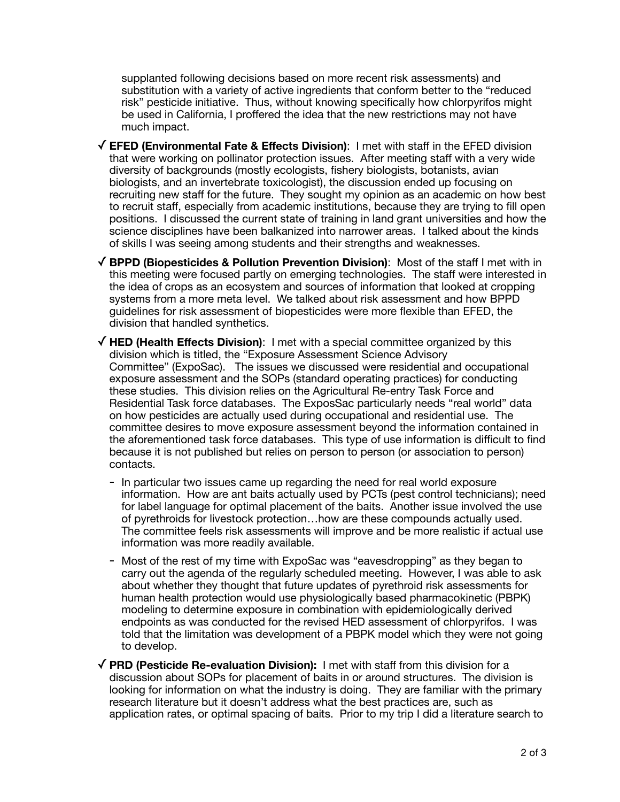supplanted following decisions based on more recent risk assessments) and substitution with a variety of active ingredients that conform better to the "reduced risk" pesticide initiative. Thus, without knowing specifically how chlorpyrifos might be used in California, I proffered the idea that the new restrictions may not have much impact.

- ✓**EFED (Environmental Fate & Effects Division)**: I met with staff in the EFED division that were working on pollinator protection issues. After meeting staff with a very wide diversity of backgrounds (mostly ecologists, fishery biologists, botanists, avian biologists, and an invertebrate toxicologist), the discussion ended up focusing on recruiting new staff for the future. They sought my opinion as an academic on how best to recruit staff, especially from academic institutions, because they are trying to fill open positions. I discussed the current state of training in land grant universities and how the science disciplines have been balkanized into narrower areas. I talked about the kinds of skills I was seeing among students and their strengths and weaknesses.
- ✓**BPPD (Biopesticides & Pollution Prevention Division)**: Most of the staff I met with in this meeting were focused partly on emerging technologies. The staff were interested in the idea of crops as an ecosystem and sources of information that looked at cropping systems from a more meta level. We talked about risk assessment and how BPPD guidelines for risk assessment of biopesticides were more flexible than EFED, the division that handled synthetics.
- ✓**HED (Health Effects Division)**: I met with a special committee organized by this division which is titled, the "Exposure Assessment Science Advisory Committee" (ExpoSac). The issues we discussed were residential and occupational exposure assessment and the SOPs (standard operating practices) for conducting these studies. This division relies on the Agricultural Re-entry Task Force and Residential Task force databases. The ExposSac particularly needs "real world" data on how pesticides are actually used during occupational and residential use. The committee desires to move exposure assessment beyond the information contained in the aforementioned task force databases. This type of use information is difficult to find because it is not published but relies on person to person (or association to person) contacts.
	- In particular two issues came up regarding the need for real world exposure information. How are ant baits actually used by PCTs (pest control technicians); need for label language for optimal placement of the baits. Another issue involved the use of pyrethroids for livestock protection…how are these compounds actually used. The committee feels risk assessments will improve and be more realistic if actual use information was more readily available.
	- Most of the rest of my time with ExpoSac was "eavesdropping" as they began to carry out the agenda of the regularly scheduled meeting. However, I was able to ask about whether they thought that future updates of pyrethroid risk assessments for human health protection would use physiologically based pharmacokinetic (PBPK) modeling to determine exposure in combination with epidemiologically derived endpoints as was conducted for the revised HED assessment of chlorpyrifos. I was told that the limitation was development of a PBPK model which they were not going to develop.
- ✓**PRD (Pesticide Re-evaluation Division):** I met with staff from this division for a discussion about SOPs for placement of baits in or around structures. The division is looking for information on what the industry is doing. They are familiar with the primary research literature but it doesn't address what the best practices are, such as application rates, or optimal spacing of baits. Prior to my trip I did a literature search to